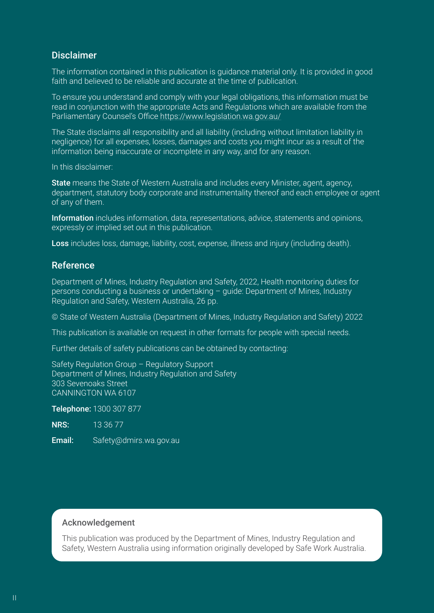### Disclaimer

The information contained in this publication is guidance material only. It is provided in good faith and believed to be reliable and accurate at the time of publication.

To ensure you understand and comply with your legal obligations, this information must be read in conjunction with the appropriate Acts and Regulations which are available from the Parliamentary Counsel's Office <https://www.legislation.wa.gov.au/>

The State disclaims all responsibility and all liability (including without limitation liability in negligence) for all expenses, losses, damages and costs you might incur as a result of the information being inaccurate or incomplete in any way, and for any reason.

In this disclaimer:

State means the State of Western Australia and includes every Minister, agent, agency, department, statutory body corporate and instrumentality thereof and each employee or agent of any of them.

Information includes information, data, representations, advice, statements and opinions, expressly or implied set out in this publication.

Loss includes loss, damage, liability, cost, expense, illness and injury (including death).

### Reference

Department of Mines, Industry Regulation and Safety, 2022, Health monitoring duties for persons conducting a business or undertaking – guide: Department of Mines, Industry Regulation and Safety, Western Australia, 26 pp.

© State of Western Australia (Department of Mines, Industry Regulation and Safety) 2022

This publication is available on request in other formats for people with special needs.

Further details of safety publications can be obtained by contacting:

Safety Regulation Group – Regulatory Support Department of Mines, Industry Regulation and Safety 303 Sevenoaks Street CANNINGTON WA 6107

Telephone: 1300 307 877

NRS: 13 36 77

Email: Safety@dmirs.wa.gov.au

### Acknowledgement

This publication was produced by the Department of Mines, Industry Regulation and Safety, Western Australia using information originally developed by Safe Work Australia.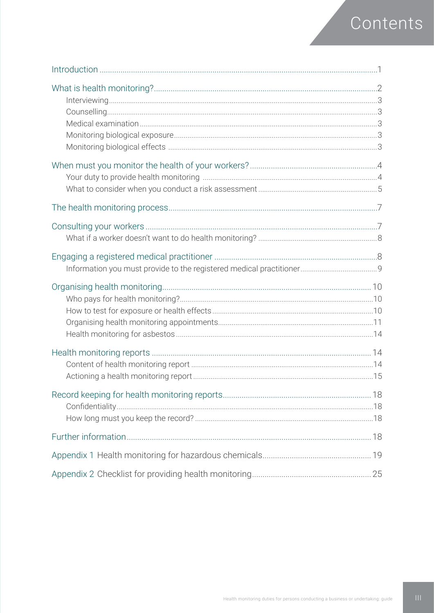# Contents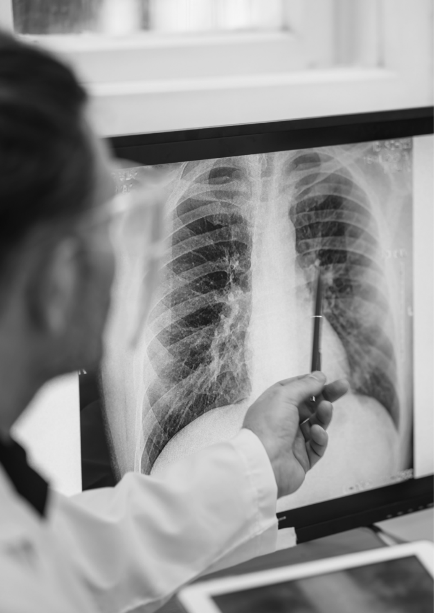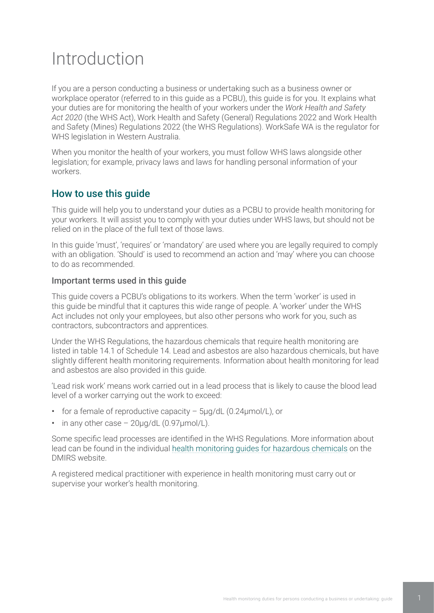# <span id="page-4-0"></span>Introduction

If you are a person conducting a business or undertaking such as a business owner or workplace operator (referred to in this guide as a PCBU), this guide is for you. It explains what your duties are for monitoring the health of your workers under the *Work Health and Safety Act 2020* (the WHS Act), Work Health and Safety (General) Regulations 2022 and Work Health and Safety (Mines) Regulations 2022 (the WHS Regulations). WorkSafe WA is the regulator for WHS legislation in Western Australia.

When you monitor the health of your workers, you must follow WHS laws alongside other legislation; for example, privacy laws and laws for handling personal information of your workers.

## How to use this guide

This guide will help you to understand your duties as a PCBU to provide health monitoring for your workers. It will assist you to comply with your duties under WHS laws, but should not be relied on in the place of the full text of those laws.

In this guide 'must', 'requires' or 'mandatory' are used where you are legally required to comply with an obligation. 'Should' is used to recommend an action and 'may' where you can choose to do as recommended.

### Important terms used in this guide

This guide covers a PCBU's obligations to its workers. When the term 'worker' is used in this guide be mindful that it captures this wide range of people. A 'worker' under the WHS Act includes not only your employees, but also other persons who work for you, such as contractors, subcontractors and apprentices.

Under the WHS Regulations, the hazardous chemicals that require health monitoring are listed in table 14.1 of Schedule 14. Lead and asbestos are also hazardous chemicals, but have slightly different health monitoring requirements. Information about health monitoring for lead and asbestos are also provided in this guide.

'Lead risk work' means work carried out in a lead process that is likely to cause the blood lead level of a worker carrying out the work to exceed:

- for a female of reproductive capacity 5μg/dL (0.24μmol/L), or
- $\cdot$  in any other case 20 µg/dL (0.97 µmol/L).

Some specific lead processes are identified in the WHS Regulations. More information about lead can be found in the individual [health monitoring guides for hazardous chemicals](https://www.commerce.wa.gov.au/worksafe/health-surveillance-information-guides-and-forms) on the DMIRS website.

A registered medical practitioner with experience in health monitoring must carry out or supervise your worker's health monitoring.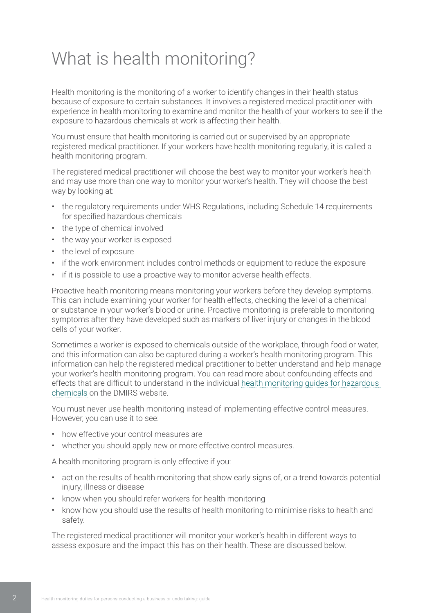# <span id="page-5-0"></span>What is health monitoring?

Health monitoring is the monitoring of a worker to identify changes in their health status because of exposure to certain substances. It involves a registered medical practitioner with experience in health monitoring to examine and monitor the health of your workers to see if the exposure to hazardous chemicals at work is affecting their health.

You must ensure that health monitoring is carried out or supervised by an appropriate registered medical practitioner. If your workers have health monitoring regularly, it is called a health monitoring program.

The registered medical practitioner will choose the best way to monitor your worker's health and may use more than one way to monitor your worker's health. They will choose the best way by looking at:

- the regulatory requirements under WHS Regulations, including Schedule 14 requirements for specified hazardous chemicals
- the type of chemical involved
- the way your worker is exposed
- the level of exposure
- if the work environment includes control methods or equipment to reduce the exposure
- if it is possible to use a proactive way to monitor adverse health effects.

Proactive health monitoring means monitoring your workers before they develop symptoms. This can include examining your worker for health effects, checking the level of a chemical or substance in your worker's blood or urine. Proactive monitoring is preferable to monitoring symptoms after they have developed such as markers of liver injury or changes in the blood cells of your worker.

Sometimes a worker is exposed to chemicals outside of the workplace, through food or water, and this information can also be captured during a worker's health monitoring program. This information can help the registered medical practitioner to better understand and help manage your worker's health monitoring program. You can read more about confounding effects and effects that are difficult to understand in the individual [health monitoring guides for hazardous](https://www.commerce.wa.gov.au/worksafe/health-surveillance-information-guides-and-forms)  [chemicals](https://www.commerce.wa.gov.au/worksafe/health-surveillance-information-guides-and-forms) on the DMIRS website.

You must never use health monitoring instead of implementing effective control measures. However, you can use it to see:

- how effective your control measures are
- whether you should apply new or more effective control measures.

A health monitoring program is only effective if you:

- act on the results of health monitoring that show early signs of, or a trend towards potential injury, illness or disease
- know when you should refer workers for health monitoring
- know how you should use the results of health monitoring to minimise risks to health and safety.

The registered medical practitioner will monitor your worker's health in different ways to assess exposure and the impact this has on their health. These are discussed below.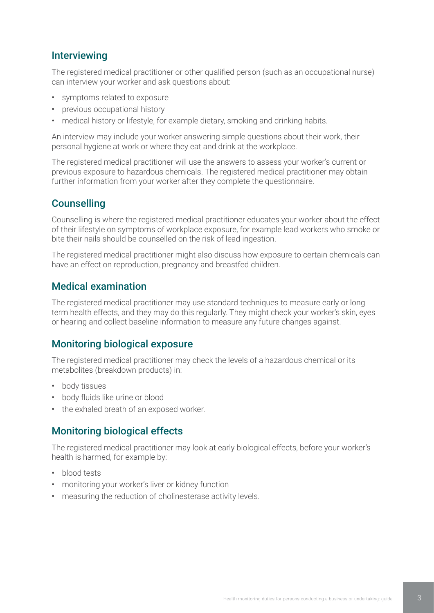## <span id="page-6-0"></span>**Interviewing**

The registered medical practitioner or other qualified person (such as an occupational nurse) can interview your worker and ask questions about:

- symptoms related to exposure
- previous occupational history
- medical history or lifestyle, for example dietary, smoking and drinking habits.

An interview may include your worker answering simple questions about their work, their personal hygiene at work or where they eat and drink at the workplace.

The registered medical practitioner will use the answers to assess your worker's current or previous exposure to hazardous chemicals. The registered medical practitioner may obtain further information from your worker after they complete the questionnaire.

## **Counselling**

Counselling is where the registered medical practitioner educates your worker about the effect of their lifestyle on symptoms of workplace exposure, for example lead workers who smoke or bite their nails should be counselled on the risk of lead ingestion.

The registered medical practitioner might also discuss how exposure to certain chemicals can have an effect on reproduction, pregnancy and breastfed children.

## Medical examination

The registered medical practitioner may use standard techniques to measure early or long term health effects, and they may do this regularly. They might check your worker's skin, eyes or hearing and collect baseline information to measure any future changes against.

## Monitoring biological exposure

The registered medical practitioner may check the levels of a hazardous chemical or its metabolites (breakdown products) in:

- body tissues
- body fluids like urine or blood
- the exhaled breath of an exposed worker.

## Monitoring biological effects

The registered medical practitioner may look at early biological effects, before your worker's health is harmed, for example by:

- blood tests
- monitoring your worker's liver or kidney function
- measuring the reduction of cholinesterase activity levels.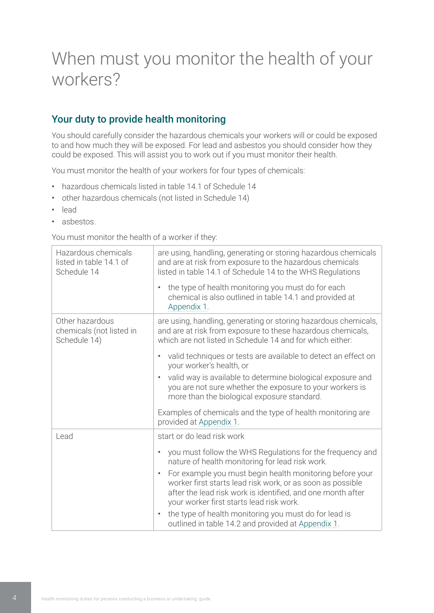# <span id="page-7-0"></span>When must you monitor the health of your workers?

## Your duty to provide health monitoring

You should carefully consider the hazardous chemicals your workers will or could be exposed to and how much they will be exposed. For lead and asbestos you should consider how they could be exposed. This will assist you to work out if you must monitor their health.

You must monitor the health of your workers for four types of chemicals:

- hazardous chemicals listed in table 14.1 of Schedule 14
- other hazardous chemicals (not listed in Schedule 14)
- lead
- asbestos.

You must monitor the health of a worker if they:

| Hazardous chemicals<br>listed in table 14.1 of<br>Schedule 14 | are using, handling, generating or storing hazardous chemicals<br>and are at risk from exposure to the hazardous chemicals<br>listed in table 14.1 of Schedule 14 to the WHS Regulations                                                                                                       |
|---------------------------------------------------------------|------------------------------------------------------------------------------------------------------------------------------------------------------------------------------------------------------------------------------------------------------------------------------------------------|
|                                                               | the type of health monitoring you must do for each<br>$\bullet$<br>chemical is also outlined in table 14.1 and provided at<br>Appendix 1.                                                                                                                                                      |
| Other hazardous<br>chemicals (not listed in<br>Schedule 14)   | are using, handling, generating or storing hazardous chemicals,<br>and are at risk from exposure to these hazardous chemicals,<br>which are not listed in Schedule 14 and for which either:                                                                                                    |
|                                                               | valid techniques or tests are available to detect an effect on<br>$\bullet$<br>your worker's health, or<br>valid way is available to determine biological exposure and<br>$\bullet$<br>you are not sure whether the exposure to your workers is<br>more than the biological exposure standard. |
|                                                               | Examples of chemicals and the type of health monitoring are<br>provided at Appendix 1.                                                                                                                                                                                                         |
| Lead                                                          | start or do lead risk work                                                                                                                                                                                                                                                                     |
|                                                               | you must follow the WHS Regulations for the frequency and<br>$\bullet$<br>nature of health monitoring for lead risk work.                                                                                                                                                                      |
|                                                               | For example you must begin health monitoring before your<br>$\bullet$<br>worker first starts lead risk work, or as soon as possible<br>after the lead risk work is identified, and one month after<br>your worker first starts lead risk work.                                                 |
|                                                               | the type of health monitoring you must do for lead is<br>$\bullet$<br>outlined in table 14.2 and provided at Appendix 1.                                                                                                                                                                       |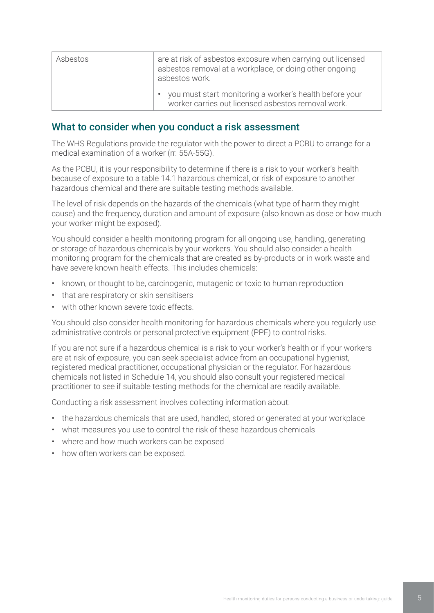<span id="page-8-0"></span>

| Asbestos | are at risk of asbestos exposure when carrying out licensed<br>asbestos removal at a workplace, or doing other ongoing<br>asbestos work. |
|----------|------------------------------------------------------------------------------------------------------------------------------------------|
|          | you must start monitoring a worker's health before your<br>worker carries out licensed asbestos removal work.                            |

### What to consider when you conduct a risk assessment

The WHS Regulations provide the regulator with the power to direct a PCBU to arrange for a medical examination of a worker (rr. 55A-55G).

As the PCBU, it is your responsibility to determine if there is a risk to your worker's health because of exposure to a table 14.1 hazardous chemical, or risk of exposure to another hazardous chemical and there are suitable testing methods available.

The level of risk depends on the hazards of the chemicals (what type of harm they might cause) and the frequency, duration and amount of exposure (also known as dose or how much your worker might be exposed).

You should consider a health monitoring program for all ongoing use, handling, generating or storage of hazardous chemicals by your workers. You should also consider a health monitoring program for the chemicals that are created as by-products or in work waste and have severe known health effects. This includes chemicals:

- known, or thought to be, carcinogenic, mutagenic or toxic to human reproduction
- that are respiratory or skin sensitisers
- with other known severe toxic effects.

You should also consider health monitoring for hazardous chemicals where you regularly use administrative controls or personal protective equipment (PPE) to control risks.

If you are not sure if a hazardous chemical is a risk to your worker's health or if your workers are at risk of exposure, you can seek specialist advice from an occupational hygienist, registered medical practitioner, occupational physician or the regulator. For hazardous chemicals not listed in Schedule 14, you should also consult your registered medical practitioner to see if suitable testing methods for the chemical are readily available.

Conducting a risk assessment involves collecting information about:

- the hazardous chemicals that are used, handled, stored or generated at your workplace
- what measures you use to control the risk of these hazardous chemicals
- where and how much workers can be exposed
- how often workers can be exposed.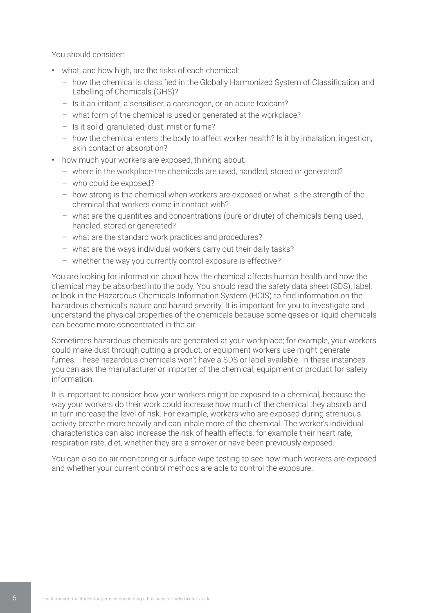You should consider:

- what, and how high, are the risks of each chemical:
	- how the chemical is classified in the Globally Harmonized System of Classification and Labelling of Chemicals (GHS)?
	- Is it an irritant, a sensitiser, a carcinogen, or an acute toxicant?
	- what form of the chemical is used or generated at the workplace?
	- Is it solid, granulated, dust, mist or fume?
	- how the chemical enters the body to affect worker health? Is it by inhalation, ingestion, skin contact or absorption?
- how much your workers are exposed, thinking about:
	- where in the workplace the chemicals are used, handled, stored or generated?
	- who could be exposed?
	- how strong is the chemical when workers are exposed or what is the strength of the chemical that workers come in contact with?
	- what are the quantities and concentrations (pure or dilute) of chemicals being used, handled, stored or generated?
	- what are the standard work practices and procedures?
	- what are the ways individual workers carry out their daily tasks?
	- whether the way you currently control exposure is effective?

You are looking for information about how the chemical affects human health and how the chemical may be absorbed into the body. You should read the safety data sheet (SDS), label, or look in the Hazardous Chemicals Information System (HCIS) to find information on the hazardous chemical's nature and hazard severity. It is important for you to investigate and understand the physical properties of the chemicals because some gases or liquid chemicals can become more concentrated in the air.

Sometimes hazardous chemicals are generated at your workplace; for example, your workers could make dust through cutting a product, or equipment workers use might generate fumes. These hazardous chemicals won't have a SDS or label available. In these instances you can ask the manufacturer or importer of the chemical, equipment or product for safety information.

It is important to consider how your workers might be exposed to a chemical, because the way your workers do their work could increase how much of the chemical they absorb and in turn increase the level of risk. For example, workers who are exposed during strenuous activity breathe more heavily and can inhale more of the chemical. The worker's individual characteristics can also increase the risk of health effects, for example their heart rate, respiration rate, diet, whether they are a smoker or have been previously exposed.

You can also do air monitoring or surface wipe testing to see how much workers are exposed and whether your current control methods are able to control the exposure.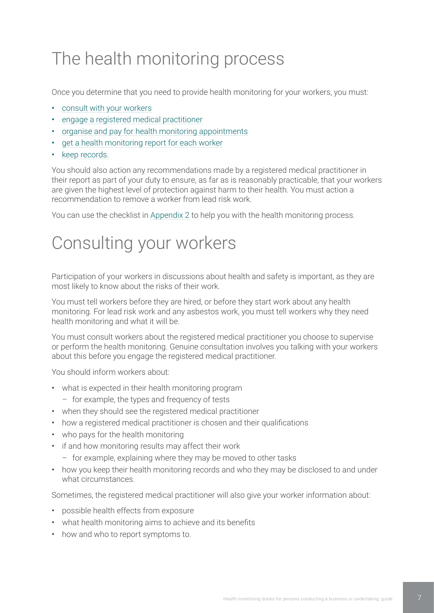# <span id="page-10-0"></span>The health monitoring process

Once you determine that you need to provide health monitoring for your workers, you must:

- consult with your workers
- [engage a registered medical practitioner](#page-11-0)
- [organise and pay for health monitoring appointments](#page-13-0)
- [get a health monitoring report for each worker](#page-17-0)
- [keep records.](#page-21-0)

You should also action any recommendations made by a registered medical practitioner in their report as part of your duty to ensure, as far as is reasonably practicable, that your workers are given the highest level of protection against harm to their health. You must action a recommendation to remove a worker from lead risk work.

You can use the checklist in [Appendix 2](#page-28-0) to help you with the health monitoring process.

# Consulting your workers

Participation of your workers in discussions about health and safety is important, as they are most likely to know about the risks of their work.

You must tell workers before they are hired, or before they start work about any health monitoring. For lead risk work and any asbestos work, you must tell workers why they need health monitoring and what it will be.

You must consult workers about the registered medical practitioner you choose to supervise or perform the health monitoring. Genuine consultation involves you talking with your workers about this before you engage the registered medical practitioner.

You should inform workers about:

- what is expected in their health monitoring program
	- for example, the types and frequency of tests
- when they should see the registered medical practitioner
- how a registered medical practitioner is chosen and their qualifications
- who pays for the health monitoring
- if and how monitoring results may affect their work – for example, explaining where they may be moved to other tasks
- how you keep their health monitoring records and who they may be disclosed to and under what circumstances.

Sometimes, the registered medical practitioner will also give your worker information about:

- possible health effects from exposure
- what health monitoring aims to achieve and its benefits
- how and who to report symptoms to.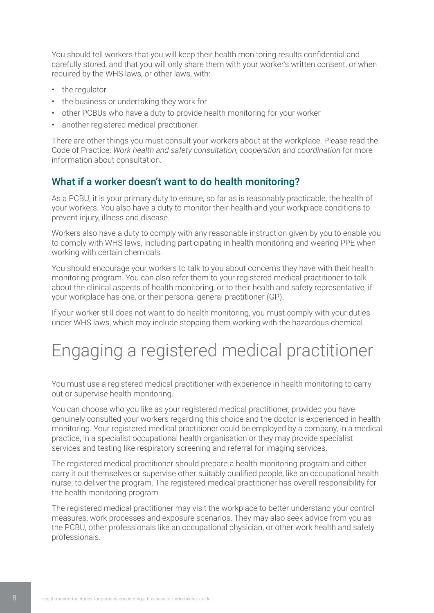<span id="page-11-0"></span>You should tell workers that you will keep their health monitoring results confidential and carefully stored, and that you will only share them with your worker's written consent, or when required by the WHS laws, or other laws, with:

- the regulator
- the business or undertaking they work for
- other PCBUs who have a duty to provide health monitoring for your worker
- another registered medical practitioner.

There are other things you must consult your workers about at the workplace. Please read the Code of Practice: *Work health and safety consultation, cooperation and coordination* for more information about consultation.

## What if a worker doesn't want to do health monitoring?

As a PCBU, it is your primary duty to ensure, so far as is reasonably practicable, the health of your workers. You also have a duty to monitor their health and your workplace conditions to prevent injury, illness and disease.

Workers also have a duty to comply with any reasonable instruction given by you to enable you to comply with WHS laws, including participating in health monitoring and wearing PPE when working with certain chemicals.

You should encourage your workers to talk to you about concerns they have with their health monitoring program. You can also refer them to your registered medical practitioner to talk about the clinical aspects of health monitoring, or to their health and safety representative, if your workplace has one, or their personal general practitioner (GP).

If your worker still does not want to do health monitoring, you must comply with your duties under WHS laws, which may include stopping them working with the hazardous chemical.

## Engaging a registered medical practitioner

You must use a registered medical practitioner with experience in health monitoring to carry out or supervise health monitoring.

You can choose who you like as your registered medical practitioner, provided you have genuinely consulted your workers regarding this choice and the doctor is experienced in health monitoring. Your registered medical practitioner could be employed by a company, in a medical practice, in a specialist occupational health organisation or they may provide specialist services and testing like respiratory screening and referral for imaging services.

The registered medical practitioner should prepare a health monitoring program and either carry it out themselves or supervise other suitably qualified people, like an occupational health nurse, to deliver the program. The registered medical practitioner has overall responsibility for the health monitoring program.

The registered medical practitioner may visit the workplace to better understand your control measures, work processes and exposure scenarios. They may also seek advice from you as the PCBU, other professionals like an occupational physician, or other work health and safety professionals.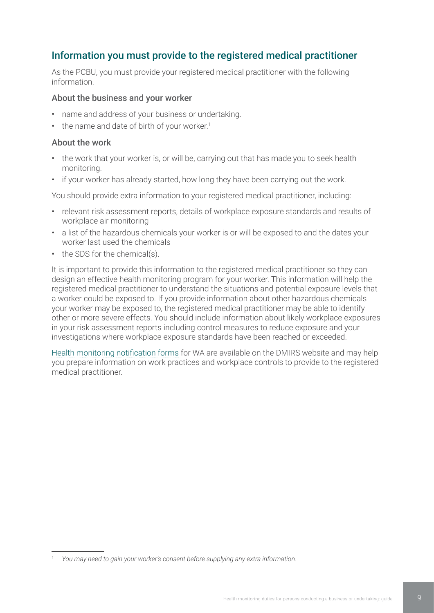## <span id="page-12-0"></span>Information you must provide to the registered medical practitioner

As the PCBU, you must provide your registered medical practitioner with the following information.

#### About the business and your worker

- name and address of your business or undertaking.
- $\cdot$  the name and date of birth of your worker.<sup>1</sup>

### About the work

- the work that your worker is, or will be, carrying out that has made you to seek health monitoring.
- if your worker has already started, how long they have been carrying out the work.

You should provide extra information to your registered medical practitioner, including:

- relevant risk assessment reports, details of workplace exposure standards and results of workplace air monitoring
- a list of the hazardous chemicals your worker is or will be exposed to and the dates your worker last used the chemicals
- the SDS for the chemical(s).

It is important to provide this information to the registered medical practitioner so they can design an effective health monitoring program for your worker. This information will help the registered medical practitioner to understand the situations and potential exposure levels that a worker could be exposed to. If you provide information about other hazardous chemicals your worker may be exposed to, the registered medical practitioner may be able to identify other or more severe effects. You should include information about likely workplace exposures in your risk assessment reports including control measures to reduce exposure and your investigations where workplace exposure standards have been reached or exceeded.

[Health monitoring notification forms](https://www.commerce.wa.gov.au/worksafe/health-surveillance-information-guides-and-forms) for WA are available on the DMIRS website and may help you prepare information on work practices and workplace controls to provide to the registered medical practitioner.

<sup>1</sup> *You may need to gain your worker's consent before supplying any extra information.*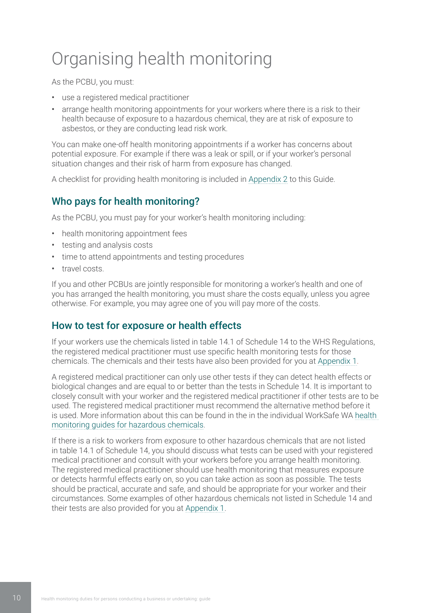# <span id="page-13-0"></span>Organising health monitoring

As the PCBU, you must:

- use a registered medical practitioner
- arrange health monitoring appointments for your workers where there is a risk to their health because of exposure to a hazardous chemical, they are at risk of exposure to asbestos, or they are conducting lead risk work.

You can make one-off health monitoring appointments if a worker has concerns about potential exposure. For example if there was a leak or spill, or if your worker's personal situation changes and their risk of harm from exposure has changed.

A checklist for providing health monitoring is included in [Appendix 2](#page-28-0) to this Guide.

## Who pays for health monitoring?

As the PCBU, you must pay for your worker's health monitoring including:

- health monitoring appointment fees
- testing and analysis costs
- time to attend appointments and testing procedures
- travel costs.

If you and other PCBUs are jointly responsible for monitoring a worker's health and one of you has arranged the health monitoring, you must share the costs equally, unless you agree otherwise. For example, you may agree one of you will pay more of the costs.

## How to test for exposure or health effects

If your workers use the chemicals listed in table 14.1 of Schedule 14 to the WHS Regulations, the registered medical practitioner must use specific health monitoring tests for those chemicals. The chemicals and their tests have also been provided for you at [Appendix 1.](#page-22-0)

A registered medical practitioner can only use other tests if they can detect health effects or biological changes and are equal to or better than the tests in Schedule 14. It is important to closely consult with your worker and the registered medical practitioner if other tests are to be used. The registered medical practitioner must recommend the alternative method before it is used. More information about this can be found in the in the individual WorkSafe WA [health](https://www.commerce.wa.gov.au/worksafe/health-surveillance-information-guides-and-forms)  [monitoring guides for hazardous chemicals](https://www.commerce.wa.gov.au/worksafe/health-surveillance-information-guides-and-forms).

If there is a risk to workers from exposure to other hazardous chemicals that are not listed in table 14.1 of Schedule 14, you should discuss what tests can be used with your registered medical practitioner and consult with your workers before you arrange health monitoring. The registered medical practitioner should use health monitoring that measures exposure or detects harmful effects early on, so you can take action as soon as possible. The tests should be practical, accurate and safe, and should be appropriate for your worker and their circumstances. Some examples of other hazardous chemicals not listed in Schedule 14 and their tests are also provided for you at [Appendix 1](#page-22-0).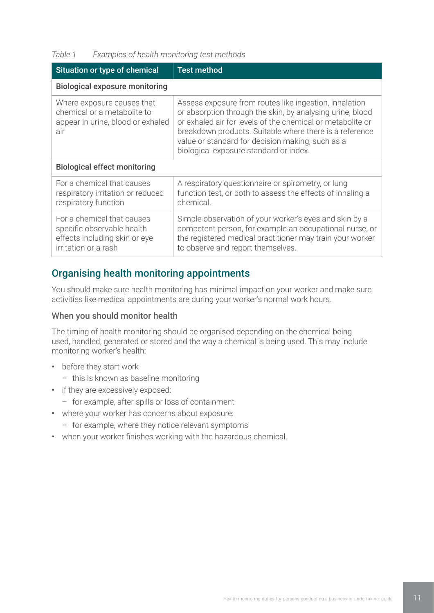### <span id="page-14-0"></span>*Table 1 Examples of health monitoring test methods*

| Situation or type of chemical                                                                                     | <b>Test method</b>                                                                                                                                                                                                                                                                                                                         |  |
|-------------------------------------------------------------------------------------------------------------------|--------------------------------------------------------------------------------------------------------------------------------------------------------------------------------------------------------------------------------------------------------------------------------------------------------------------------------------------|--|
| <b>Biological exposure monitoring</b>                                                                             |                                                                                                                                                                                                                                                                                                                                            |  |
| Where exposure causes that<br>chemical or a metabolite to<br>appear in urine, blood or exhaled<br>air             | Assess exposure from routes like ingestion, inhalation<br>or absorption through the skin, by analysing urine, blood<br>or exhaled air for levels of the chemical or metabolite or<br>breakdown products. Suitable where there is a reference<br>value or standard for decision making, such as a<br>biological exposure standard or index. |  |
| <b>Biological effect monitoring</b>                                                                               |                                                                                                                                                                                                                                                                                                                                            |  |
| For a chemical that causes<br>respiratory irritation or reduced<br>respiratory function                           | A respiratory questionnaire or spirometry, or lung<br>function test, or both to assess the effects of inhaling a<br>chemical.                                                                                                                                                                                                              |  |
| For a chemical that causes<br>specific observable health<br>effects including skin or eye<br>irritation or a rash | Simple observation of your worker's eyes and skin by a<br>competent person, for example an occupational nurse, or<br>the registered medical practitioner may train your worker<br>to observe and report themselves.                                                                                                                        |  |

## Organising health monitoring appointments

You should make sure health monitoring has minimal impact on your worker and make sure activities like medical appointments are during your worker's normal work hours.

### When you should monitor health

The timing of health monitoring should be organised depending on the chemical being used, handled, generated or stored and the way a chemical is being used. This may include monitoring worker's health:

- before they start work
	- this is known as baseline monitoring
- if they are excessively exposed:
	- for example, after spills or loss of containment
- where your worker has concerns about exposure:
	- for example, where they notice relevant symptoms
- when your worker finishes working with the hazardous chemical.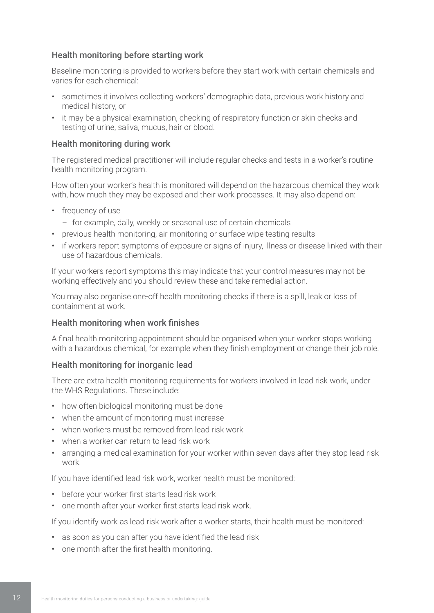### Health monitoring before starting work

Baseline monitoring is provided to workers before they start work with certain chemicals and varies for each chemical:

- sometimes it involves collecting workers' demographic data, previous work history and medical history, or
- it may be a physical examination, checking of respiratory function or skin checks and testing of urine, saliva, mucus, hair or blood.

### Health monitoring during work

The registered medical practitioner will include regular checks and tests in a worker's routine health monitoring program.

How often your worker's health is monitored will depend on the hazardous chemical they work with, how much they may be exposed and their work processes. It may also depend on:

- frequency of use
	- for example, daily, weekly or seasonal use of certain chemicals
- previous health monitoring, air monitoring or surface wipe testing results
- if workers report symptoms of exposure or signs of injury, illness or disease linked with their use of hazardous chemicals.

If your workers report symptoms this may indicate that your control measures may not be working effectively and you should review these and take remedial action.

You may also organise one-off health monitoring checks if there is a spill, leak or loss of containment at work.

### Health monitoring when work finishes

A final health monitoring appointment should be organised when your worker stops working with a hazardous chemical, for example when they finish employment or change their job role.

### Health monitoring for inorganic lead

There are extra health monitoring requirements for workers involved in lead risk work, under the WHS Regulations. These include:

- how often biological monitoring must be done
- when the amount of monitoring must increase
- when workers must be removed from lead risk work
- when a worker can return to lead risk work
- arranging a medical examination for your worker within seven days after they stop lead risk work.

If you have identified lead risk work, worker health must be monitored:

- before your worker first starts lead risk work
- one month after your worker first starts lead risk work.

If you identify work as lead risk work after a worker starts, their health must be monitored:

- as soon as you can after you have identified the lead risk
- one month after the first health monitoring.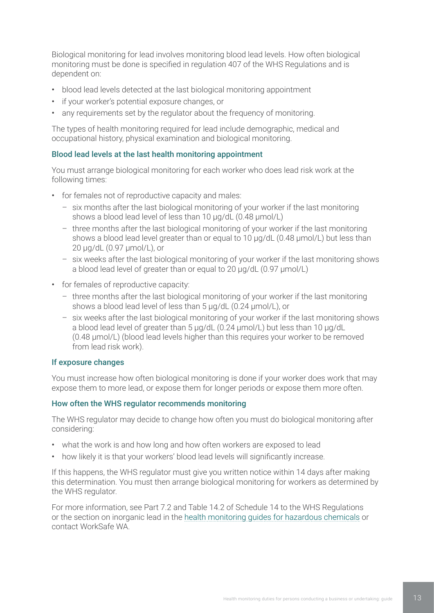Biological monitoring for lead involves monitoring blood lead levels. How often biological monitoring must be done is specified in regulation 407 of the WHS Regulations and is dependent on:

- blood lead levels detected at the last biological monitoring appointment
- if your worker's potential exposure changes, or
- any requirements set by the requiator about the frequency of monitoring.

The types of health monitoring required for lead include demographic, medical and occupational history, physical examination and biological monitoring.

#### Blood lead levels at the last health monitoring appointment

You must arrange biological monitoring for each worker who does lead risk work at the following times:

- for females not of reproductive capacity and males:
	- six months after the last biological monitoring of your worker if the last monitoring shows a blood lead level of less than 10 ug/dL (0.48 umol/L)
	- three months after the last biological monitoring of your worker if the last monitoring shows a blood lead level greater than or equal to 10 µg/dL (0.48 µmol/L) but less than 20 µg/dL (0.97 µmol/L), or
	- six weeks after the last biological monitoring of your worker if the last monitoring shows a blood lead level of greater than or equal to 20 µg/dL (0.97 µmol/L)
- for females of reproductive capacity:
	- three months after the last biological monitoring of your worker if the last monitoring shows a blood lead level of less than 5 µg/dL (0.24 µmol/L), or
	- six weeks after the last biological monitoring of your worker if the last monitoring shows a blood lead level of greater than 5 µg/dL (0.24 µmol/L) but less than 10 µg/dL (0.48 μmol/L) (blood lead levels higher than this requires your worker to be removed from lead risk work).

#### If exposure changes

You must increase how often biological monitoring is done if your worker does work that may expose them to more lead, or expose them for longer periods or expose them more often.

#### How often the WHS regulator recommends monitoring

The WHS regulator may decide to change how often you must do biological monitoring after considering:

- what the work is and how long and how often workers are exposed to lead
- how likely it is that your workers' blood lead levels will significantly increase.

If this happens, the WHS regulator must give you written notice within 14 days after making this determination. You must then arrange biological monitoring for workers as determined by the WHS regulator.

For more information, see Part 7.2 and Table 14.2 of Schedule 14 to the WHS Regulations or the section on inorganic lead in the [health monitoring guides for hazardous chemicals](https://www.commerce.wa.gov.au/worksafe/health-surveillance-information-guides-and-forms) or contact WorkSafe WA.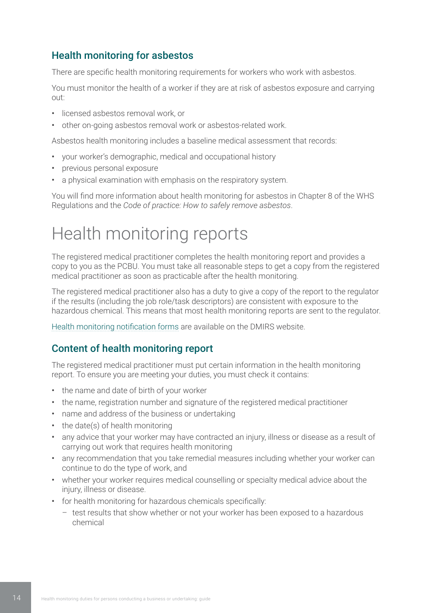## <span id="page-17-0"></span>Health monitoring for asbestos

There are specific health monitoring requirements for workers who work with asbestos.

You must monitor the health of a worker if they are at risk of asbestos exposure and carrying out:

- licensed asbestos removal work, or
- other on-going asbestos removal work or asbestos-related work.

Asbestos health monitoring includes a baseline medical assessment that records:

- your worker's demographic, medical and occupational history
- previous personal exposure
- a physical examination with emphasis on the respiratory system.

You will find more information about health monitoring for asbestos in Chapter 8 of the WHS Regulations and the *Code of practice: How to safely remove asbestos*.

# Health monitoring reports

The registered medical practitioner completes the health monitoring report and provides a copy to you as the PCBU. You must take all reasonable steps to get a copy from the registered medical practitioner as soon as practicable after the health monitoring.

The registered medical practitioner also has a duty to give a copy of the report to the regulator if the results (including the job role/task descriptors) are consistent with exposure to the hazardous chemical. This means that most health monitoring reports are sent to the regulator.

[Health monitoring notification forms](https://www.commerce.wa.gov.au/worksafe/health-surveillance-information-guides-and-forms) are available on the DMIRS website.

## Content of health monitoring report

The registered medical practitioner must put certain information in the health monitoring report. To ensure you are meeting your duties, you must check it contains:

- the name and date of birth of your worker
- the name, registration number and signature of the registered medical practitioner
- name and address of the business or undertaking
- the date(s) of health monitoring
- any advice that your worker may have contracted an injury, illness or disease as a result of carrying out work that requires health monitoring
- any recommendation that you take remedial measures including whether your worker can continue to do the type of work, and
- whether your worker requires medical counselling or specialty medical advice about the injury, illness or disease.
- for health monitoring for hazardous chemicals specifically:
	- test results that show whether or not your worker has been exposed to a hazardous chemical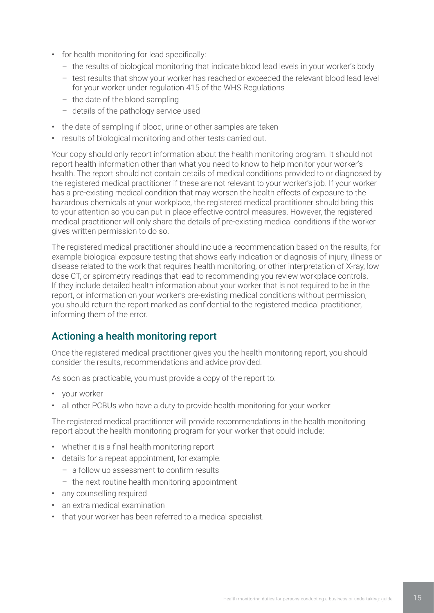- <span id="page-18-0"></span>• for health monitoring for lead specifically:
	- the results of biological monitoring that indicate blood lead levels in your worker's body
	- test results that show your worker has reached or exceeded the relevant blood lead level for your worker under regulation 415 of the WHS Regulations
	- the date of the blood sampling
	- details of the pathology service used
- the date of sampling if blood, urine or other samples are taken
- results of biological monitoring and other tests carried out.

Your copy should only report information about the health monitoring program. It should not report health information other than what you need to know to help monitor your worker's health. The report should not contain details of medical conditions provided to or diagnosed by the registered medical practitioner if these are not relevant to your worker's job. If your worker has a pre-existing medical condition that may worsen the health effects of exposure to the hazardous chemicals at your workplace, the registered medical practitioner should bring this to your attention so you can put in place effective control measures. However, the registered medical practitioner will only share the details of pre-existing medical conditions if the worker gives written permission to do so.

The registered medical practitioner should include a recommendation based on the results, for example biological exposure testing that shows early indication or diagnosis of injury, illness or disease related to the work that requires health monitoring, or other interpretation of X-ray, low dose CT, or spirometry readings that lead to recommending you review workplace controls. If they include detailed health information about your worker that is not required to be in the report, or information on your worker's pre-existing medical conditions without permission, you should return the report marked as confidential to the registered medical practitioner, informing them of the error.

## Actioning a health monitoring report

Once the registered medical practitioner gives you the health monitoring report, you should consider the results, recommendations and advice provided.

As soon as practicable, you must provide a copy of the report to:

- your worker
- all other PCBUs who have a duty to provide health monitoring for your worker

The registered medical practitioner will provide recommendations in the health monitoring report about the health monitoring program for your worker that could include:

- whether it is a final health monitoring report
- details for a repeat appointment, for example:
	- a follow up assessment to confirm results
	- the next routine health monitoring appointment
- any counselling required
- an extra medical examination
- that your worker has been referred to a medical specialist.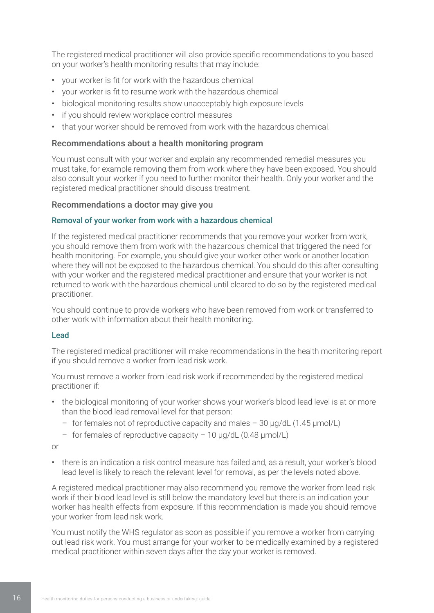The registered medical practitioner will also provide specific recommendations to you based on your worker's health monitoring results that may include:

- your worker is fit for work with the hazardous chemical
- your worker is fit to resume work with the hazardous chemical
- biological monitoring results show unacceptably high exposure levels
- if you should review workplace control measures
- that your worker should be removed from work with the hazardous chemical.

#### Recommendations about a health monitoring program

You must consult with your worker and explain any recommended remedial measures you must take, for example removing them from work where they have been exposed. You should also consult your worker if you need to further monitor their health. Only your worker and the registered medical practitioner should discuss treatment.

#### Recommendations a doctor may give you

#### Removal of your worker from work with a hazardous chemical

If the registered medical practitioner recommends that you remove your worker from work, you should remove them from work with the hazardous chemical that triggered the need for health monitoring. For example, you should give your worker other work or another location where they will not be exposed to the hazardous chemical. You should do this after consulting with your worker and the registered medical practitioner and ensure that your worker is not returned to work with the hazardous chemical until cleared to do so by the registered medical practitioner.

You should continue to provide workers who have been removed from work or transferred to other work with information about their health monitoring.

#### Lead

The registered medical practitioner will make recommendations in the health monitoring report if you should remove a worker from lead risk work.

You must remove a worker from lead risk work if recommended by the registered medical practitioner if:

- the biological monitoring of your worker shows your worker's blood lead level is at or more than the blood lead removal level for that person:
	- $-$  for females not of reproductive capacity and males  $-$  30 µg/dL (1.45 µmol/L)
	- for females of reproductive capacity 10  $\mu$ g/dL (0.48  $\mu$ mol/L)

or

• there is an indication a risk control measure has failed and, as a result, your worker's blood lead level is likely to reach the relevant level for removal, as per the levels noted above.

A registered medical practitioner may also recommend you remove the worker from lead risk work if their blood lead level is still below the mandatory level but there is an indication your worker has health effects from exposure. If this recommendation is made you should remove your worker from lead risk work.

You must notify the WHS regulator as soon as possible if you remove a worker from carrying out lead risk work. You must arrange for your worker to be medically examined by a registered medical practitioner within seven days after the day your worker is removed.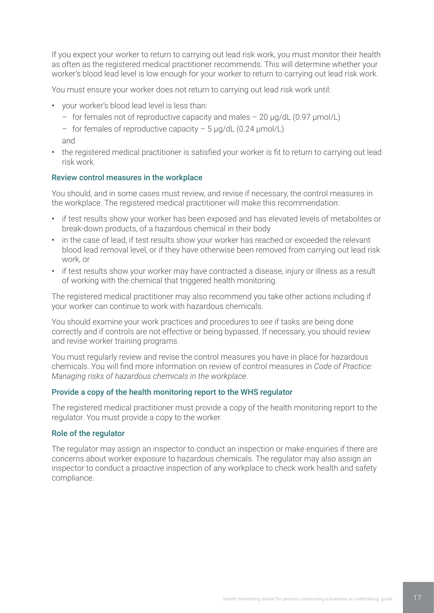If you expect your worker to return to carrying out lead risk work, you must monitor their health as often as the registered medical practitioner recommends. This will determine whether your worker's blood lead level is low enough for your worker to return to carrying out lead risk work.

You must ensure your worker does not return to carrying out lead risk work until:

- your worker's blood lead level is less than:
	- $-$  for females not of reproductive capacity and males  $-$  20  $\mu$ g/dL (0.97  $\mu$ mol/L)
	- for females of reproductive capacity  $5 \mu q/dL (0.24 \mu m o/L)$
	- and
- the registered medical practitioner is satisfied your worker is fit to return to carrying out lead risk work.

#### Review control measures in the workplace

You should, and in some cases must review, and revise if necessary, the control measures in the workplace. The registered medical practitioner will make this recommendation:

- if test results show your worker has been exposed and has elevated levels of metabolites or break-down products, of a hazardous chemical in their body
- in the case of lead, if test results show your worker has reached or exceeded the relevant blood lead removal level, or if they have otherwise been removed from carrying out lead risk work, or
- if test results show your worker may have contracted a disease, injury or illness as a result of working with the chemical that triggered health monitoring.

The registered medical practitioner may also recommend you take other actions including if your worker can continue to work with hazardous chemicals.

You should examine your work practices and procedures to see if tasks are being done correctly and if controls are not effective or being bypassed. If necessary, you should review and revise worker training programs.

You must regularly review and revise the control measures you have in place for hazardous chemicals. You will find more information on review of control measures in *Code of Practice: Managing risks of hazardous chemicals in the workplace*.

#### Provide a copy of the health monitoring report to the WHS regulator

The registered medical practitioner must provide a copy of the health monitoring report to the regulator. You must provide a copy to the worker.

#### Role of the regulator

The regulator may assign an inspector to conduct an inspection or make enquiries if there are concerns about worker exposure to hazardous chemicals. The regulator may also assign an inspector to conduct a proactive inspection of any workplace to check work health and safety compliance.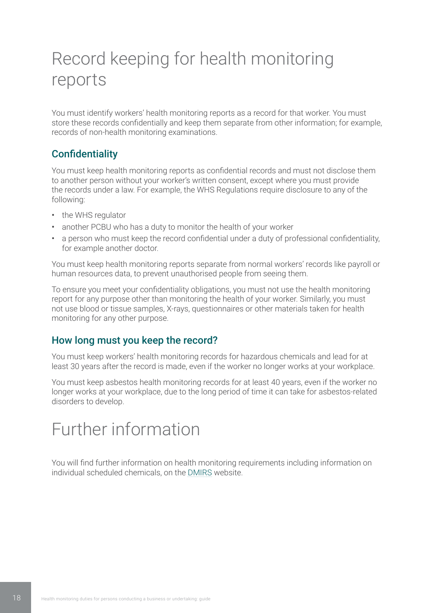# <span id="page-21-0"></span>Record keeping for health monitoring reports

You must identify workers' health monitoring reports as a record for that worker. You must store these records confidentially and keep them separate from other information; for example, records of non-health monitoring examinations.

## **Confidentiality**

You must keep health monitoring reports as confidential records and must not disclose them to another person without your worker's written consent, except where you must provide the records under a law. For example, the WHS Regulations require disclosure to any of the following:

- the WHS regulator
- another PCBU who has a duty to monitor the health of your worker
- a person who must keep the record confidential under a duty of professional confidentiality, for example another doctor.

You must keep health monitoring reports separate from normal workers' records like payroll or human resources data, to prevent unauthorised people from seeing them.

To ensure you meet your confidentiality obligations, you must not use the health monitoring report for any purpose other than monitoring the health of your worker. Similarly, you must not use blood or tissue samples, X-rays, questionnaires or other materials taken for health monitoring for any other purpose.

## How long must you keep the record?

You must keep workers' health monitoring records for hazardous chemicals and lead for at least 30 years after the record is made, even if the worker no longer works at your workplace.

You must keep asbestos health monitoring records for at least 40 years, even if the worker no longer works at your workplace, due to the long period of time it can take for asbestos-related disorders to develop.

## Further information

You will find further information on health monitoring requirements including information on individual scheduled chemicals, on the [DMIRS](https://www.dmirs.wa.gov.au/) website.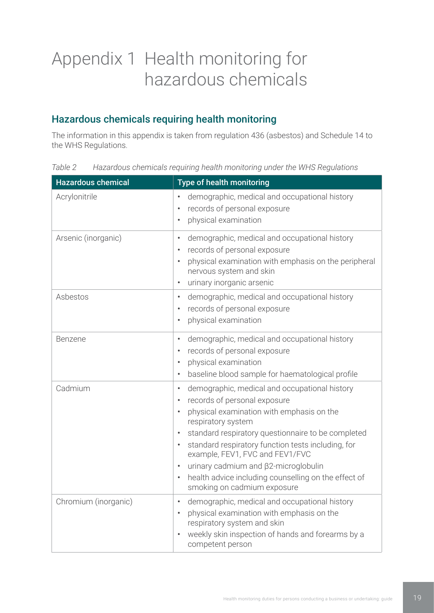# <span id="page-22-0"></span>Appendix 1 Health monitoring for hazardous chemicals

## Hazardous chemicals requiring health monitoring

The information in this appendix is taken from regulation 436 (asbestos) and Schedule 14 to the WHS Regulations.

| <b>Hazardous chemical</b> | <b>Type of health monitoring</b>                                                                                                                                                                                                                                                                                                                                                                                                                                                                                          |  |
|---------------------------|---------------------------------------------------------------------------------------------------------------------------------------------------------------------------------------------------------------------------------------------------------------------------------------------------------------------------------------------------------------------------------------------------------------------------------------------------------------------------------------------------------------------------|--|
| Acrylonitrile             | demographic, medical and occupational history<br>$\bullet$<br>records of personal exposure<br>$\bullet$<br>physical examination<br>$\bullet$                                                                                                                                                                                                                                                                                                                                                                              |  |
| Arsenic (inorganic)       | demographic, medical and occupational history<br>$\bullet$<br>records of personal exposure<br>$\bullet$<br>physical examination with emphasis on the peripheral<br>nervous system and skin<br>urinary inorganic arsenic<br>$\bullet$                                                                                                                                                                                                                                                                                      |  |
| Asbestos                  | demographic, medical and occupational history<br>$\bullet$<br>records of personal exposure<br>$\bullet$<br>physical examination                                                                                                                                                                                                                                                                                                                                                                                           |  |
| Benzene                   | demographic, medical and occupational history<br>$\bullet$<br>records of personal exposure<br>$\bullet$<br>physical examination<br>$\bullet$<br>baseline blood sample for haematological profile<br>$\bullet$                                                                                                                                                                                                                                                                                                             |  |
| Cadmium                   | demographic, medical and occupational history<br>$\bullet$<br>records of personal exposure<br>$\bullet$<br>physical examination with emphasis on the<br>$\bullet$<br>respiratory system<br>standard respiratory questionnaire to be completed<br>$\bullet$<br>standard respiratory function tests including, for<br>$\bullet$<br>example, FEV1, FVC and FEV1/FVC<br>urinary cadmium and ß2-microglobulin<br>$\bullet$<br>health advice including counselling on the effect of<br>$\bullet$<br>smoking on cadmium exposure |  |
| Chromium (inorganic)      | demographic, medical and occupational history<br>$\bullet$<br>physical examination with emphasis on the<br>$\bullet$<br>respiratory system and skin<br>weekly skin inspection of hands and forearms by a<br>competent person                                                                                                                                                                                                                                                                                              |  |

*Table 2 Hazardous chemicals requiring health monitoring under the WHS Regulations*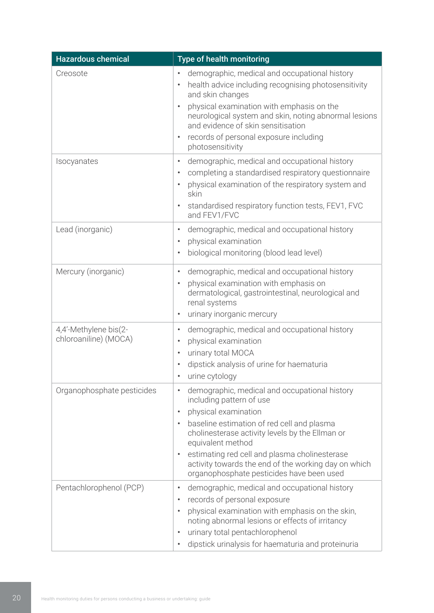| <b>Hazardous chemical</b>                      | Type of health monitoring                                                                                                                                                                                                                                                                                                                                                                               |  |
|------------------------------------------------|---------------------------------------------------------------------------------------------------------------------------------------------------------------------------------------------------------------------------------------------------------------------------------------------------------------------------------------------------------------------------------------------------------|--|
| Creosote                                       | demographic, medical and occupational history<br>$\bullet$<br>health advice including recognising photosensitivity<br>$\bullet$<br>and skin changes<br>physical examination with emphasis on the<br>neurological system and skin, noting abnormal lesions<br>and evidence of skin sensitisation<br>records of personal exposure including                                                               |  |
|                                                | photosensitivity                                                                                                                                                                                                                                                                                                                                                                                        |  |
| Isocyanates                                    | demographic, medical and occupational history<br>$\bullet$<br>completing a standardised respiratory questionnaire<br>$\bullet$<br>physical examination of the respiratory system and<br>$\bullet$<br>skin<br>standardised respiratory function tests, FEV1, FVC<br>and FEV1/FVC                                                                                                                         |  |
| Lead (inorganic)                               | demographic, medical and occupational history<br>$\bullet$<br>physical examination<br>$\bullet$<br>biological monitoring (blood lead level)<br>$\bullet$                                                                                                                                                                                                                                                |  |
| Mercury (inorganic)                            | demographic, medical and occupational history<br>٠<br>physical examination with emphasis on<br>dermatological, gastrointestinal, neurological and<br>renal systems<br>urinary inorganic mercury<br>٠                                                                                                                                                                                                    |  |
| 4,4'-Methylene bis(2-<br>chloroaniline) (MOCA) | demographic, medical and occupational history<br>$\bullet$<br>physical examination<br>$\bullet$<br>urinary total MOCA<br>$\bullet$<br>dipstick analysis of urine for haematuria<br>urine cytology                                                                                                                                                                                                       |  |
| Organophosphate pesticides                     | demographic, medical and occupational history<br>$\bullet$<br>including pattern of use<br>physical examination<br>$\bullet$<br>baseline estimation of red cell and plasma<br>cholinesterase activity levels by the Ellman or<br>equivalent method<br>estimating red cell and plasma cholinesterase<br>activity towards the end of the working day on which<br>organophosphate pesticides have been used |  |
| Pentachlorophenol (PCP)                        | demographic, medical and occupational history<br>$\bullet$<br>records of personal exposure<br>$\bullet$<br>physical examination with emphasis on the skin,<br>noting abnormal lesions or effects of irritancy<br>urinary total pentachlorophenol<br>$\bullet$<br>dipstick urinalysis for haematuria and proteinuria                                                                                     |  |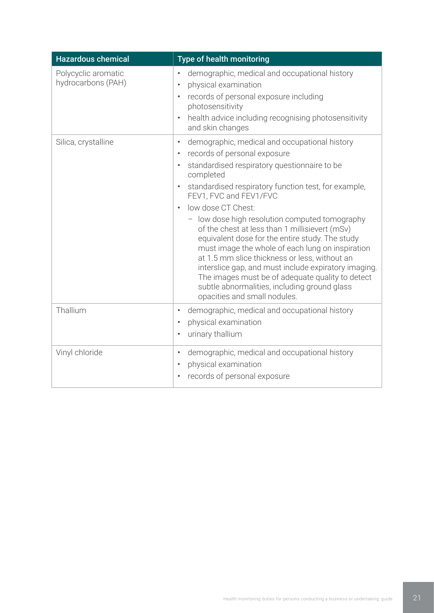| <b>Hazardous chemical</b>                 | <b>Type of health monitoring</b>                                                                                                                                                                                                                                                                                                                                                                                                                                                                                                                                                                                                                                                                                                                               |
|-------------------------------------------|----------------------------------------------------------------------------------------------------------------------------------------------------------------------------------------------------------------------------------------------------------------------------------------------------------------------------------------------------------------------------------------------------------------------------------------------------------------------------------------------------------------------------------------------------------------------------------------------------------------------------------------------------------------------------------------------------------------------------------------------------------------|
| Polycyclic aromatic<br>hydrocarbons (PAH) | demographic, medical and occupational history<br>$\bullet$<br>physical examination<br>$\bullet$<br>records of personal exposure including<br>photosensitivity<br>health advice including recognising photosensitivity<br>and skin changes                                                                                                                                                                                                                                                                                                                                                                                                                                                                                                                      |
| Silica, crystalline                       | demographic, medical and occupational history<br>$\bullet$<br>records of personal exposure<br>$\bullet$<br>standardised respiratory questionnaire to be<br>$\bullet$<br>completed<br>standardised respiratory function test, for example,<br>FEV1, FVC and FEV1/FVC<br>low dose CT Chest:<br>$\bullet$<br>- low dose high resolution computed tomography<br>of the chest at less than 1 millisievert (mSv)<br>equivalent dose for the entire study. The study<br>must image the whole of each lung on inspiration<br>at 1.5 mm slice thickness or less, without an<br>interslice gap, and must include expiratory imaging.<br>The images must be of adequate quality to detect<br>subtle abnormalities, including ground glass<br>opacities and small nodules. |
| Thallium                                  | demographic, medical and occupational history<br>$\bullet$<br>physical examination<br>$\bullet$<br>urinary thallium<br>$\bullet$                                                                                                                                                                                                                                                                                                                                                                                                                                                                                                                                                                                                                               |
| Vinyl chloride                            | demographic, medical and occupational history<br>$\bullet$<br>physical examination<br>$\bullet$<br>records of personal exposure<br>$\bullet$                                                                                                                                                                                                                                                                                                                                                                                                                                                                                                                                                                                                                   |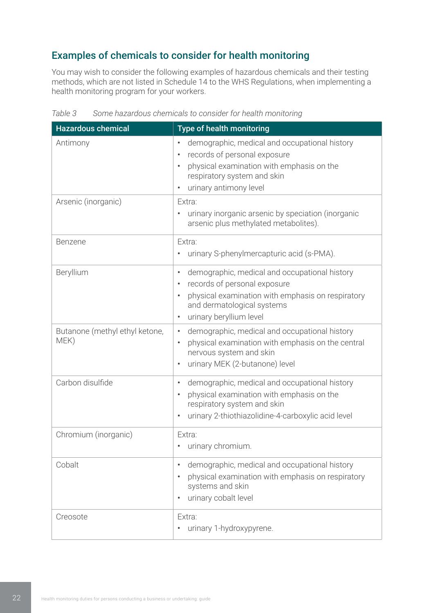## Examples of chemicals to consider for health monitoring

You may wish to consider the following examples of hazardous chemicals and their testing methods, which are not listed in Schedule 14 to the WHS Regulations, when implementing a health monitoring program for your workers.

| <b>Hazardous chemical</b>              | <b>Type of health monitoring</b>                                                                                                                                                                              |
|----------------------------------------|---------------------------------------------------------------------------------------------------------------------------------------------------------------------------------------------------------------|
| Antimony                               | demographic, medical and occupational history<br>$\bullet$<br>records of personal exposure<br>$\bullet$<br>physical examination with emphasis on the<br>respiratory system and skin<br>urinary antimony level |
| Arsenic (inorganic)                    | Extra:<br>urinary inorganic arsenic by speciation (inorganic<br>arsenic plus methylated metabolites).                                                                                                         |
| <b>Benzene</b>                         | Extra:<br>urinary S-phenylmercapturic acid (s-PMA).                                                                                                                                                           |
| Beryllium                              | demographic, medical and occupational history<br>٠<br>records of personal exposure<br>physical examination with emphasis on respiratory<br>and dermatological systems<br>urinary beryllium level<br>$\bullet$ |
| Butanone (methyl ethyl ketone,<br>MEK) | demographic, medical and occupational history<br>$\bullet$<br>physical examination with emphasis on the central<br>$\bullet$<br>nervous system and skin<br>urinary MEK (2-butanone) level<br>$\bullet$        |
| Carbon disulfide                       | demographic, medical and occupational history<br>۰<br>physical examination with emphasis on the<br>$\bullet$<br>respiratory system and skin<br>urinary 2-thiothiazolidine-4-carboxylic acid level             |
| Chromium (inorganic)                   | Extra:<br>urinary chromium.                                                                                                                                                                                   |
| Cobalt                                 | demographic, medical and occupational history<br>$\bullet$<br>physical examination with emphasis on respiratory<br>$\bullet$<br>systems and skin<br>urinary cobalt level                                      |
| Creosote                               | Extra:<br>urinary 1-hydroxypyrene.                                                                                                                                                                            |

*Table 3 Some hazardous chemicals to consider for health monitoring*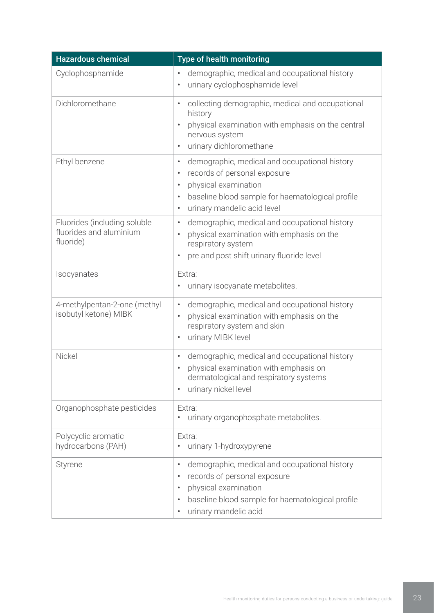| <b>Hazardous chemical</b>                                            | Type of health monitoring                                                                                                                                                                                                            |  |
|----------------------------------------------------------------------|--------------------------------------------------------------------------------------------------------------------------------------------------------------------------------------------------------------------------------------|--|
| Cyclophosphamide                                                     | demographic, medical and occupational history<br>$\bullet$<br>urinary cyclophosphamide level<br>٠                                                                                                                                    |  |
| Dichloromethane                                                      | collecting demographic, medical and occupational<br>$\bullet$<br>history<br>physical examination with emphasis on the central<br>nervous system<br>urinary dichloromethane<br>$\bullet$                                              |  |
| Ethyl benzene                                                        | demographic, medical and occupational history<br>$\bullet$<br>records of personal exposure<br>٠<br>physical examination<br>$\bullet$<br>baseline blood sample for haematological profile<br>urinary mandelic acid level<br>$\bullet$ |  |
| Fluorides (including soluble<br>fluorides and aluminium<br>fluoride) | demographic, medical and occupational history<br>٠<br>physical examination with emphasis on the<br>respiratory system<br>pre and post shift urinary fluoride level<br>$\bullet$                                                      |  |
| Isocyanates                                                          | Extra:<br>urinary isocyanate metabolites.<br>٠                                                                                                                                                                                       |  |
| 4-methylpentan-2-one (methyl<br>isobutyl ketone) MIBK                | demographic, medical and occupational history<br>$\bullet$<br>physical examination with emphasis on the<br>$\bullet$<br>respiratory system and skin<br>urinary MIBK level<br>$\bullet$                                               |  |
| Nickel                                                               | demographic, medical and occupational history<br>$\bullet$<br>physical examination with emphasis on<br>dermatological and respiratory systems<br>urinary nickel level<br>٠                                                           |  |
| Organophosphate pesticides                                           | Extra:<br>urinary organophosphate metabolites.                                                                                                                                                                                       |  |
| Polycyclic aromatic<br>hydrocarbons (PAH)                            | Extra:<br>urinary 1-hydroxypyrene                                                                                                                                                                                                    |  |
| Styrene                                                              | demographic, medical and occupational history<br>$\bullet$<br>records of personal exposure<br>٠<br>physical examination<br>baseline blood sample for haematological profile<br>$\bullet$<br>urinary mandelic acid<br>$\bullet$       |  |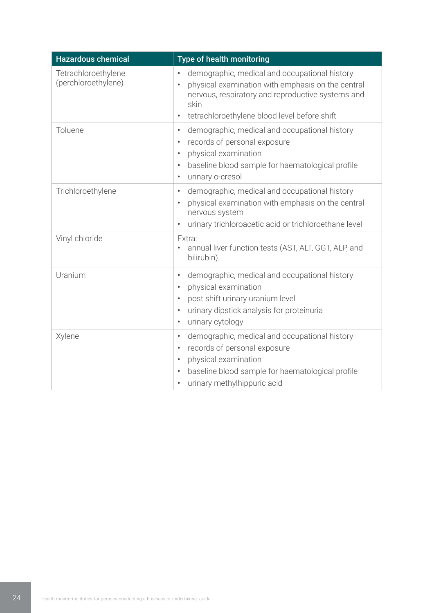| <b>Hazardous chemical</b>                  | Type of health monitoring                                                                                                                                                                                                                              |  |
|--------------------------------------------|--------------------------------------------------------------------------------------------------------------------------------------------------------------------------------------------------------------------------------------------------------|--|
| Tetrachloroethylene<br>(perchloroethylene) | demographic, medical and occupational history<br>$\bullet$<br>physical examination with emphasis on the central<br>$\bullet$<br>nervous, respiratory and reproductive systems and<br>skin<br>tetrachloroethylene blood level before shift<br>$\bullet$ |  |
| Toluene                                    | demographic, medical and occupational history<br>$\bullet$<br>records of personal exposure<br>$\bullet$<br>physical examination<br>$\bullet$<br>baseline blood sample for haematological profile<br>$\bullet$<br>urinary o-cresol<br>$\bullet$         |  |
| Trichloroethylene                          | demographic, medical and occupational history<br>$\bullet$<br>physical examination with emphasis on the central<br>$\bullet$<br>nervous system<br>urinary trichloroacetic acid or trichloroethane level<br>$\bullet$                                   |  |
| Vinyl chloride                             | Extra:<br>annual liver function tests (AST, ALT, GGT, ALP, and<br>bilirubin).                                                                                                                                                                          |  |
| Uranium                                    | demographic, medical and occupational history<br>$\bullet$<br>physical examination<br>$\bullet$<br>post shift urinary uranium level<br>urinary dipstick analysis for proteinuria<br>$\bullet$<br>urinary cytology<br>$\bullet$                         |  |
| Xylene                                     | demographic, medical and occupational history<br>$\bullet$<br>records of personal exposure<br>physical examination<br>$\bullet$<br>baseline blood sample for haematological profile<br>urinary methylhippuric acid<br>$\bullet$                        |  |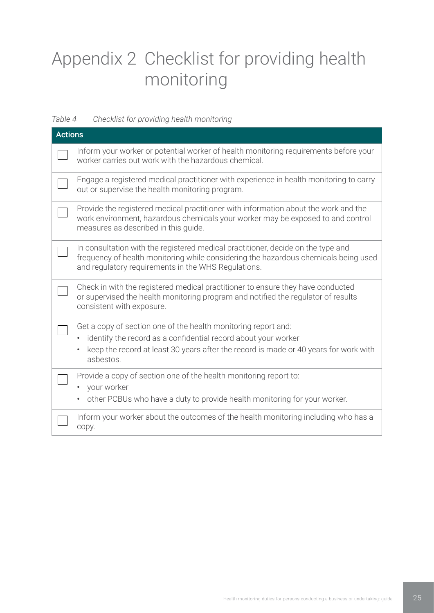# <span id="page-28-0"></span>Appendix 2 Checklist for providing health monitoring

*Table 4 Checklist for providing health monitoring*

| <b>Actions</b>                                                                                                                                                                                                                        |  |  |
|---------------------------------------------------------------------------------------------------------------------------------------------------------------------------------------------------------------------------------------|--|--|
| Inform your worker or potential worker of health monitoring requirements before your<br>worker carries out work with the hazardous chemical.                                                                                          |  |  |
| Engage a registered medical practitioner with experience in health monitoring to carry<br>out or supervise the health monitoring program.                                                                                             |  |  |
| Provide the registered medical practitioner with information about the work and the<br>work environment, hazardous chemicals your worker may be exposed to and control<br>measures as described in this guide.                        |  |  |
| In consultation with the registered medical practitioner, decide on the type and<br>frequency of health monitoring while considering the hazardous chemicals being used<br>and regulatory requirements in the WHS Regulations.        |  |  |
| Check in with the registered medical practitioner to ensure they have conducted<br>or supervised the health monitoring program and notified the regulator of results<br>consistent with exposure.                                     |  |  |
| Get a copy of section one of the health monitoring report and:<br>identify the record as a confidential record about your worker<br>keep the record at least 30 years after the record is made or 40 years for work with<br>asbestos. |  |  |
| Provide a copy of section one of the health monitoring report to:<br>your worker<br>other PCBUs who have a duty to provide health monitoring for your worker.                                                                         |  |  |
| Inform your worker about the outcomes of the health monitoring including who has a<br>copy.                                                                                                                                           |  |  |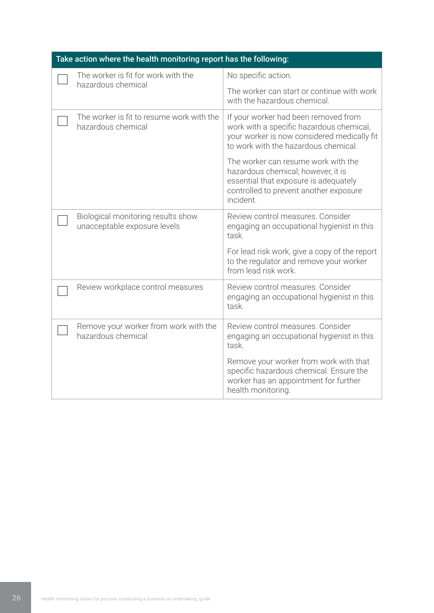| Take action where the health monitoring report has the following: |                                                                    |                                                                                                                                                                           |
|-------------------------------------------------------------------|--------------------------------------------------------------------|---------------------------------------------------------------------------------------------------------------------------------------------------------------------------|
|                                                                   | The worker is fit for work with the                                | No specific action.                                                                                                                                                       |
|                                                                   | hazardous chemical                                                 | The worker can start or continue with work<br>with the hazardous chemical.                                                                                                |
|                                                                   | The worker is fit to resume work with the<br>hazardous chemical    | If your worker had been removed from<br>work with a specific hazardous chemical,<br>your worker is now considered medically fit<br>to work with the hazardous chemical.   |
|                                                                   |                                                                    | The worker can resume work with the<br>hazardous chemical; however, it is<br>essential that exposure is adequately<br>controlled to prevent another exposure<br>incident. |
|                                                                   | Biological monitoring results show<br>unacceptable exposure levels | Review control measures. Consider<br>engaging an occupational hygienist in this<br>task.                                                                                  |
|                                                                   |                                                                    | For lead risk work, give a copy of the report<br>to the regulator and remove your worker<br>from lead risk work.                                                          |
|                                                                   | Review workplace control measures                                  | Review control measures. Consider<br>engaging an occupational hygienist in this<br>task.                                                                                  |
|                                                                   | Remove your worker from work with the<br>hazardous chemical        | Review control measures. Consider<br>engaging an occupational hygienist in this<br>task.                                                                                  |
|                                                                   |                                                                    | Remove your worker from work with that<br>specific hazardous chemical. Ensure the<br>worker has an appointment for further<br>health monitoring.                          |